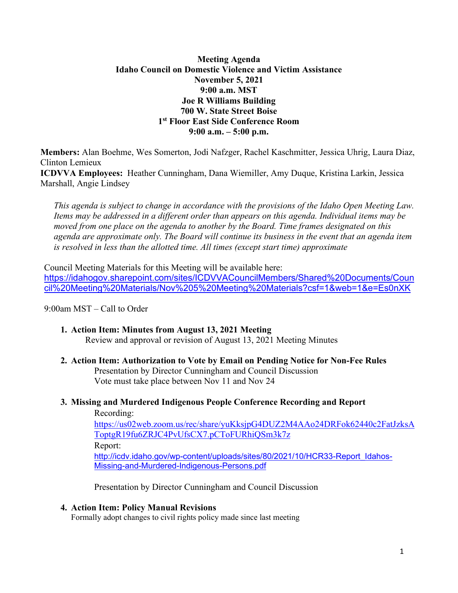## **Meeting Agenda Idaho Council on Domestic Violence and Victim Assistance November 5, 2021 9:00 a.m. MST Joe R Williams Building 700 W. State Street Boise 1 st Floor East Side Conference Room 9:00 a.m. – 5:00 p.m.**

**Members:** Alan Boehme, Wes Somerton, Jodi Nafzger, Rachel Kaschmitter, Jessica Uhrig, Laura Diaz, Clinton Lemieux **ICDVVA Employees:** Heather Cunningham, Dana Wiemiller, Amy Duque, Kristina Larkin, Jessica Marshall, Angie Lindsey

 *This agenda is subject to change in accordance with the provisions of the Idaho Open Meeting Law. Items may be addressed in a different order than appears on this agenda. Individual items may be moved from one place on the agenda to another by the Board. Time frames designated on this agenda are approximate only. The Board will continue its business in the event that an agenda item is resolved in less than the allotted time. All times (except start time) approximate* 

Council Meeting Materials for this Meeting will be available here: [https://idahogov.sharepoint.com/sites/ICDVVACouncilMembers/Shared%20Documents/Coun](https://idahogov.sharepoint.com/sites/ICDVVACouncilMembers/Shared%20Documents/Council%20Meeting%20Materials/Nov%205%20Meeting%20Materials?csf=1&web=1&e=Es0nXK) [cil%20Meeting%20Materials/Nov%205%20Meeting%20Materials?csf=1&web=1&e=Es0nXK](https://idahogov.sharepoint.com/sites/ICDVVACouncilMembers/Shared%20Documents/Council%20Meeting%20Materials/Nov%205%20Meeting%20Materials?csf=1&web=1&e=Es0nXK)

#### 9:00am MST – Call to Order

- **1. Action Item: Minutes from August 13, 2021 Meeting**  Review and approval or revision of August 13, 2021 Meeting Minutes
- **2. Action Item: Authorization to Vote by Email on Pending Notice for Non-Fee Rules**  Presentation by Director Cunningham and Council Discussion Vote must take place between Nov 11 and Nov 24
- **3. Missing and Murdered Indigenous People Conference Recording and Report**

Recording:

[https://us02web.zoom.us/rec/share/yuKksjpG4DUZ2M4AAo24DRFok62440c2FatJzksA](https://us02web.zoom.us/rec/share/yuKksjpG4DUZ2M4AAo24DRFok62440c2FatJzksAToptgR19fu6ZRJC4PvUfsCX7.pCToFURhiQSm3k7z) [ToptgR19fu6ZRJC4PvUfsCX7.pCToFURhiQSm3k7z](https://us02web.zoom.us/rec/share/yuKksjpG4DUZ2M4AAo24DRFok62440c2FatJzksAToptgR19fu6ZRJC4PvUfsCX7.pCToFURhiQSm3k7z) Report: [http://icdv.idaho.gov/wp-content/uploads/sites/80/2021/10/HCR33-Report\\_Idahos-](http://icdv.idaho.gov/wp-content/uploads/sites/80/2021/10/HCR33-Report_Idahos-Missing-and-Murdered-Indigenous-Persons.pdf)[Missing-and-Murdered-Indigenous-Persons.pdf](http://icdv.idaho.gov/wp-content/uploads/sites/80/2021/10/HCR33-Report_Idahos-Missing-and-Murdered-Indigenous-Persons.pdf)

Presentation by Director Cunningham and Council Discussion

#### **4. Action Item: Policy Manual Revisions**

Formally adopt changes to civil rights policy made since last meeting